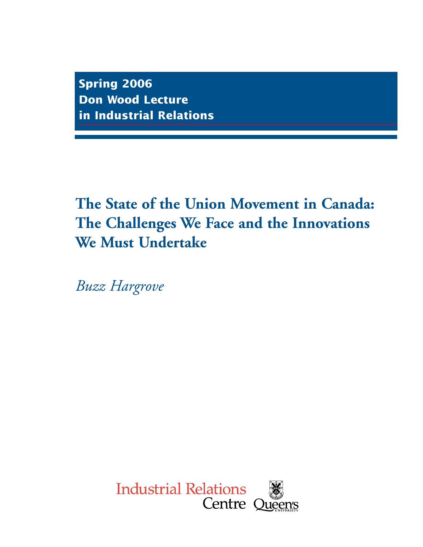**Spring 2006 Don Wood Lecture in Industrial Relations**

# **The State of the Union Movement in Canada: The Challenges We Face and the Innovations We Must Undertake**

*Buzz Hargrove*

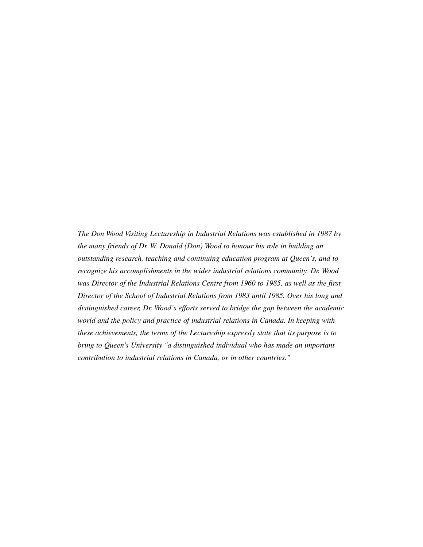*The Don Wood Visiting Lectureship in Industrial Relations was established in 1987 by the many friends of Dr. W. Donald (Don) Wood to honour his role in building an outstanding research, teaching and continuing education program at Queen's, and to recognize his accomplishments in the wider industrial relations community. Dr. Wood was Director of the Industrial Relations Centre from 1960 to 1985, as well as the first Director of the School of Industrial Relations from 1983 until 1985. Over his long and distinguished career, Dr. Wood's efforts served to bridge the gap between the academic world and the policy and practice of industrial relations in Canada. In keeping with these achievements, the terms of the Lectureship expressly state that its purpose is to bring to Queen's University "a distinguished individual who has made an important contribution to industrial relations in Canada, or in other countries."*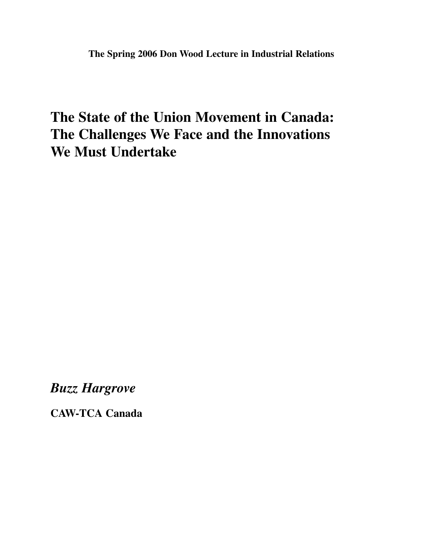# **The State of the Union Movement in Canada: The Challenges We Face and the Innovations We Must Undertake**

*Buzz Hargrove*

**CAW-TCA Canada**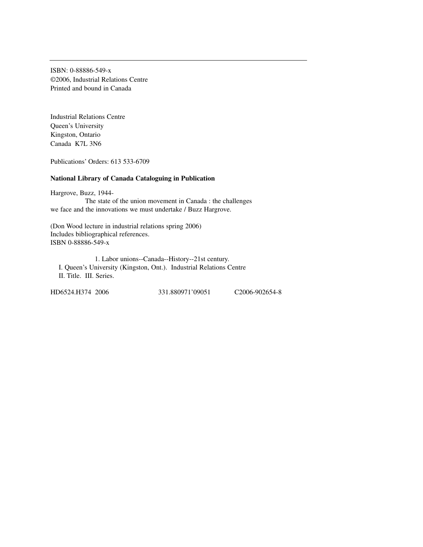ISBN: 0-88886-549-x ©2006, Industrial Relations Centre Printed and bound in Canada

Industrial Relations Centre Queen's University Kingston, Ontario Canada K7L 3N6

Publications' Orders: 613 533-6709

#### **National Library of Canada Cataloguing in Publication**

Hargrove, Buzz, 1944- The state of the union movement in Canada : the challenges we face and the innovations we must undertake / Buzz Hargrove.

(Don Wood lecture in industrial relations spring 2006) Includes bibliographical references. ISBN 0-88886-549-x

1. Labor unions--Canada--History--21st century. I. Queen's University (Kingston, Ont.). Industrial Relations Centre II. Title. III. Series.

HD6524.H374 2006 331.880971'09051 C2006-902654-8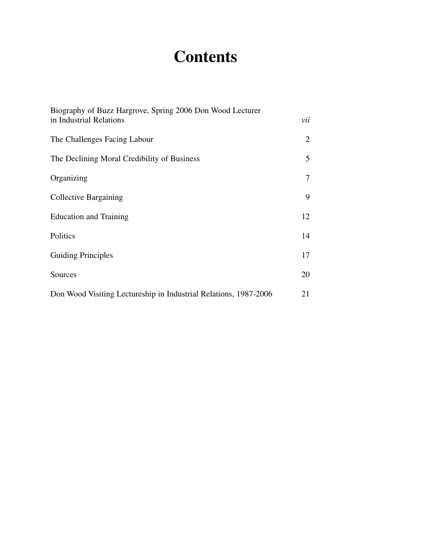# **Contents**

| Biography of Buzz Hargrove, Spring 2006 Don Wood Lecturer<br>in Industrial Relations | vii |
|--------------------------------------------------------------------------------------|-----|
| The Challenges Facing Labour                                                         | 2   |
| The Declining Moral Credibility of Business                                          | 5   |
| Organizing                                                                           | 7   |
| Collective Bargaining                                                                | 9   |
| <b>Education and Training</b>                                                        | 12  |
| Politics                                                                             | 14  |
| <b>Guiding Principles</b>                                                            | 17  |
| Sources                                                                              | 20  |
| Don Wood Visiting Lectureship in Industrial Relations, 1987-2006                     | 21  |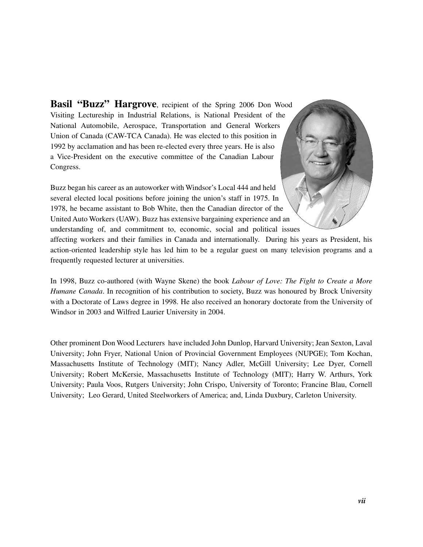Basil "Buzz" Hargrove, recipient of the Spring 2006 Don Wood Visiting Lectureship in Industrial Relations, is National President of the National Automobile, Aerospace, Transportation and General Workers Union of Canada (CAW-TCA Canada). He was elected to this position in 1992 by acclamation and has been re-elected every three years. He is also a Vice-President on the executive committee of the Canadian Labour Congress.

Buzz began his career as an autoworker with Windsor's Local 444 and held several elected local positions before joining the union's staff in 1975. In 1978, he became assistant to Bob White, then the Canadian director of the United Auto Workers (UAW). Buzz has extensive bargaining experience and an understanding of, and commitment to, economic, social and political issues



affecting workers and their families in Canada and internationally. During his years as President, his action-oriented leadership style has led him to be a regular guest on many television programs and a frequently requested lecturer at universities.

In 1998, Buzz co-authored (with Wayne Skene) the book *Labour of Love: The Fight to Create a More Humane Canada*. In recognition of his contribution to society, Buzz was honoured by Brock University with a Doctorate of Laws degree in 1998. He also received an honorary doctorate from the University of Windsor in 2003 and Wilfred Laurier University in 2004.

Other prominent Don Wood Lecturers have included John Dunlop, Harvard University; Jean Sexton, Laval University; John Fryer, National Union of Provincial Government Employees (NUPGE); Tom Kochan, Massachusetts Institute of Technology (MIT); Nancy Adler, McGill University; Lee Dyer, Cornell University; Robert McKersie, Massachusetts Institute of Technology (MIT); Harry W. Arthurs, York University; Paula Voos, Rutgers University; John Crispo, University of Toronto; Francine Blau, Cornell University; Leo Gerard, United Steelworkers of America; and, Linda Duxbury, Carleton University.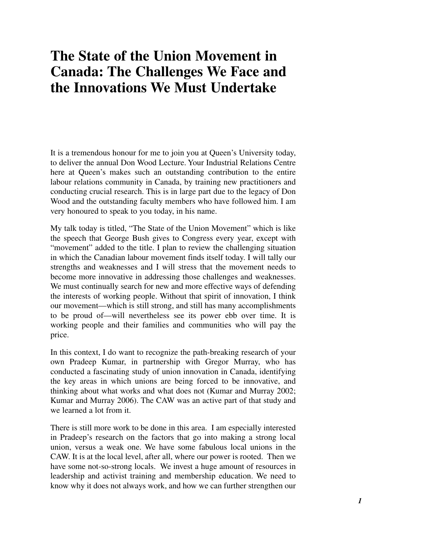## **The State of the Union Movement in Canada: The Challenges We Face and the Innovations We Must Undertake**

It is a tremendous honour for me to join you at Queen's University today, to deliver the annual Don Wood Lecture. Your Industrial Relations Centre here at Queen's makes such an outstanding contribution to the entire labour relations community in Canada, by training new practitioners and conducting crucial research. This is in large part due to the legacy of Don Wood and the outstanding faculty members who have followed him. I am very honoured to speak to you today, in his name.

My talk today is titled, "The State of the Union Movement" which is like the speech that George Bush gives to Congress every year, except with "movement" added to the title. I plan to review the challenging situation in which the Canadian labour movement finds itself today. I will tally our strengths and weaknesses and I will stress that the movement needs to become more innovative in addressing those challenges and weaknesses. We must continually search for new and more effective ways of defending the interests of working people. Without that spirit of innovation, I think our movement—which is still strong, and still has many accomplishments to be proud of—will nevertheless see its power ebb over time. It is working people and their families and communities who will pay the price.

In this context, I do want to recognize the path-breaking research of your own Pradeep Kumar, in partnership with Gregor Murray, who has conducted a fascinating study of union innovation in Canada, identifying the key areas in which unions are being forced to be innovative, and thinking about what works and what does not (Kumar and Murray 2002; Kumar and Murray 2006). The CAW was an active part of that study and we learned a lot from it.

There is still more work to be done in this area. I am especially interested in Pradeep's research on the factors that go into making a strong local union, versus a weak one. We have some fabulous local unions in the CAW. It is at the local level, after all, where our power is rooted. Then we have some not-so-strong locals. We invest a huge amount of resources in leadership and activist training and membership education. We need to know why it does not always work, and how we can further strengthen our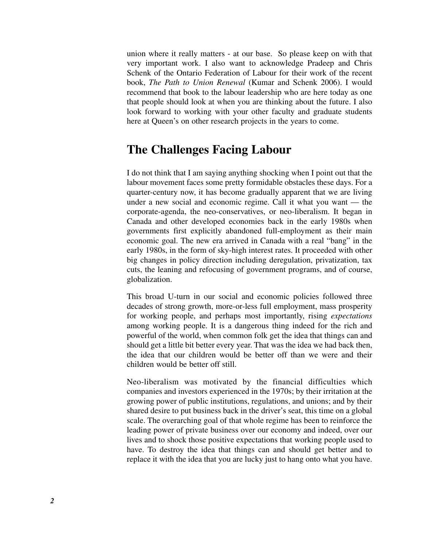union where it really matters - at our base. So please keep on with that very important work. I also want to acknowledge Pradeep and Chris Schenk of the Ontario Federation of Labour for their work of the recent book, *The Path to Union Renewal* (Kumar and Schenk 2006). I would recommend that book to the labour leadership who are here today as one that people should look at when you are thinking about the future. I also look forward to working with your other faculty and graduate students here at Queen's on other research projects in the years to come.

### **The Challenges Facing Labour**

I do not think that I am saying anything shocking when I point out that the labour movement faces some pretty formidable obstacles these days. For a quarter-century now, it has become gradually apparent that we are living under a new social and economic regime. Call it what you want — the corporate-agenda, the neo-conservatives, or neo-liberalism. It began in Canada and other developed economies back in the early 1980s when governments first explicitly abandoned full-employment as their main economic goal. The new era arrived in Canada with a real "bang" in the early 1980s, in the form of sky-high interest rates. It proceeded with other big changes in policy direction including deregulation, privatization, tax cuts, the leaning and refocusing of government programs, and of course, globalization.

This broad U-turn in our social and economic policies followed three decades of strong growth, more-or-less full employment, mass prosperity for working people, and perhaps most importantly, rising *expectations* among working people. It is a dangerous thing indeed for the rich and powerful of the world, when common folk get the idea that things can and should get a little bit better every year. That was the idea we had back then, the idea that our children would be better off than we were and their children would be better off still.

Neo-liberalism was motivated by the financial difficulties which companies and investors experienced in the 1970s; by their irritation at the growing power of public institutions, regulations, and unions; and by their shared desire to put business back in the driver's seat, this time on a global scale. The overarching goal of that whole regime has been to reinforce the leading power of private business over our economy and indeed, over our lives and to shock those positive expectations that working people used to have. To destroy the idea that things can and should get better and to replace it with the idea that you are lucky just to hang onto what you have.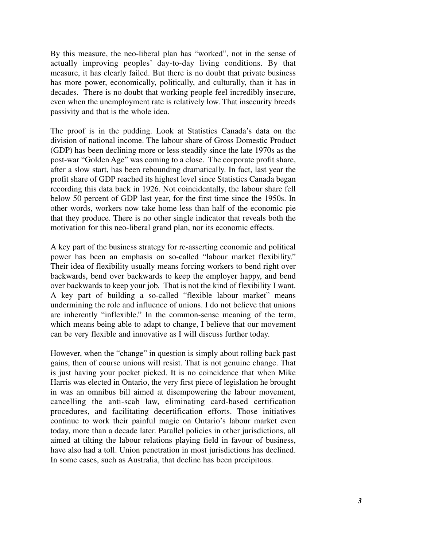By this measure, the neo-liberal plan has "worked", not in the sense of actually improving peoples' day-to-day living conditions. By that measure, it has clearly failed. But there is no doubt that private business has more power, economically, politically, and culturally, than it has in decades. There is no doubt that working people feel incredibly insecure, even when the unemployment rate is relatively low. That insecurity breeds passivity and that is the whole idea.

The proof is in the pudding. Look at Statistics Canada's data on the division of national income. The labour share of Gross Domestic Product (GDP) has been declining more or less steadily since the late 1970s as the post-war "Golden Age" was coming to a close. The corporate profit share, after a slow start, has been rebounding dramatically. In fact, last year the profit share of GDP reached its highest level since Statistics Canada began recording this data back in 1926. Not coincidentally, the labour share fell below 50 percent of GDP last year, for the first time since the 1950s. In other words, workers now take home less than half of the economic pie that they produce. There is no other single indicator that reveals both the motivation for this neo-liberal grand plan, nor its economic effects.

A key part of the business strategy for re-asserting economic and political power has been an emphasis on so-called "labour market flexibility." Their idea of flexibility usually means forcing workers to bend right over backwards, bend over backwards to keep the employer happy, and bend over backwards to keep your job. That is not the kind of flexibility I want. A key part of building a so-called "flexible labour market" means undermining the role and influence of unions. I do not believe that unions are inherently "inflexible." In the common-sense meaning of the term, which means being able to adapt to change, I believe that our movement can be very flexible and innovative as I will discuss further today.

However, when the "change" in question is simply about rolling back past gains, then of course unions will resist. That is not genuine change. That is just having your pocket picked. It is no coincidence that when Mike Harris was elected in Ontario, the very first piece of legislation he brought in was an omnibus bill aimed at disempowering the labour movement, cancelling the anti-scab law, eliminating card-based certification procedures, and facilitating decertification efforts. Those initiatives continue to work their painful magic on Ontario's labour market even today, more than a decade later. Parallel policies in other jurisdictions, all aimed at tilting the labour relations playing field in favour of business, have also had a toll. Union penetration in most jurisdictions has declined. In some cases, such as Australia, that decline has been precipitous.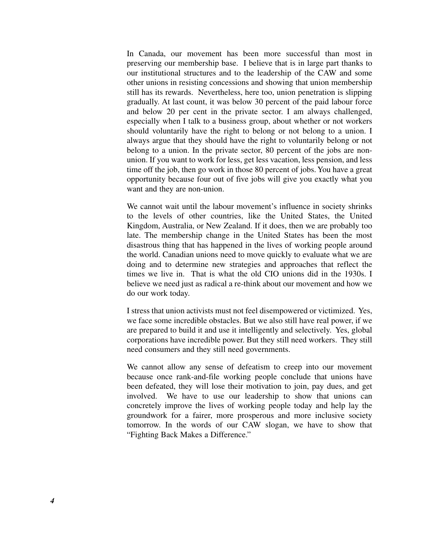In Canada, our movement has been more successful than most in preserving our membership base. I believe that is in large part thanks to our institutional structures and to the leadership of the CAW and some other unions in resisting concessions and showing that union membership still has its rewards. Nevertheless, here too, union penetration is slipping gradually. At last count, it was below 30 percent of the paid labour force and below 20 per cent in the private sector. I am always challenged, especially when I talk to a business group, about whether or not workers should voluntarily have the right to belong or not belong to a union. I always argue that they should have the right to voluntarily belong or not belong to a union. In the private sector, 80 percent of the jobs are nonunion. If you want to work for less, get less vacation, less pension, and less time off the job, then go work in those 80 percent of jobs. You have a great opportunity because four out of five jobs will give you exactly what you want and they are non-union.

We cannot wait until the labour movement's influence in society shrinks to the levels of other countries, like the United States, the United Kingdom, Australia, or New Zealand. If it does, then we are probably too late. The membership change in the United States has been the most disastrous thing that has happened in the lives of working people around the world. Canadian unions need to move quickly to evaluate what we are doing and to determine new strategies and approaches that reflect the times we live in. That is what the old CIO unions did in the 1930s. I believe we need just as radical a re-think about our movement and how we do our work today.

I stress that union activists must not feel disempowered or victimized. Yes, we face some incredible obstacles. But we also still have real power, if we are prepared to build it and use it intelligently and selectively. Yes, global corporations have incredible power. But they still need workers. They still need consumers and they still need governments.

We cannot allow any sense of defeatism to creep into our movement because once rank-and-file working people conclude that unions have been defeated, they will lose their motivation to join, pay dues, and get involved. We have to use our leadership to show that unions can concretely improve the lives of working people today and help lay the groundwork for a fairer, more prosperous and more inclusive society tomorrow. In the words of our CAW slogan, we have to show that "Fighting Back Makes a Difference."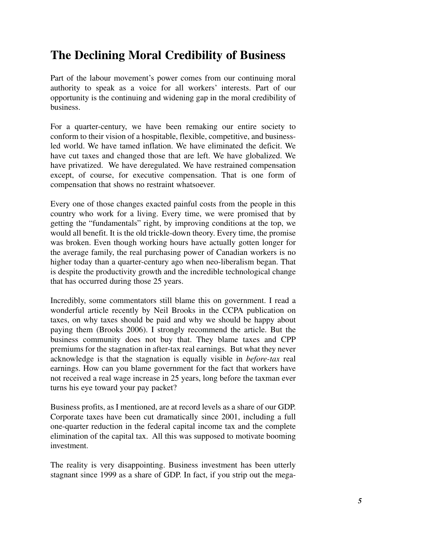### **The Declining Moral Credibility of Business**

Part of the labour movement's power comes from our continuing moral authority to speak as a voice for all workers' interests. Part of our opportunity is the continuing and widening gap in the moral credibility of business.

For a quarter-century, we have been remaking our entire society to conform to their vision of a hospitable, flexible, competitive, and businessled world. We have tamed inflation. We have eliminated the deficit. We have cut taxes and changed those that are left. We have globalized. We have privatized. We have deregulated. We have restrained compensation except, of course, for executive compensation. That is one form of compensation that shows no restraint whatsoever.

Every one of those changes exacted painful costs from the people in this country who work for a living. Every time, we were promised that by getting the "fundamentals" right, by improving conditions at the top, we would all benefit. It is the old trickle-down theory. Every time, the promise was broken. Even though working hours have actually gotten longer for the average family, the real purchasing power of Canadian workers is no higher today than a quarter-century ago when neo-liberalism began. That is despite the productivity growth and the incredible technological change that has occurred during those 25 years.

Incredibly, some commentators still blame this on government. I read a wonderful article recently by Neil Brooks in the CCPA publication on taxes, on why taxes should be paid and why we should be happy about paying them (Brooks 2006). I strongly recommend the article. But the business community does not buy that. They blame taxes and CPP premiums for the stagnation in after-tax real earnings. But what they never acknowledge is that the stagnation is equally visible in *before-tax* real earnings. How can you blame government for the fact that workers have not received a real wage increase in 25 years, long before the taxman ever turns his eye toward your pay packet?

Business profits, as I mentioned, are at record levels as a share of our GDP. Corporate taxes have been cut dramatically since 2001, including a full one-quarter reduction in the federal capital income tax and the complete elimination of the capital tax. All this was supposed to motivate booming investment.

The reality is very disappointing. Business investment has been utterly stagnant since 1999 as a share of GDP. In fact, if you strip out the mega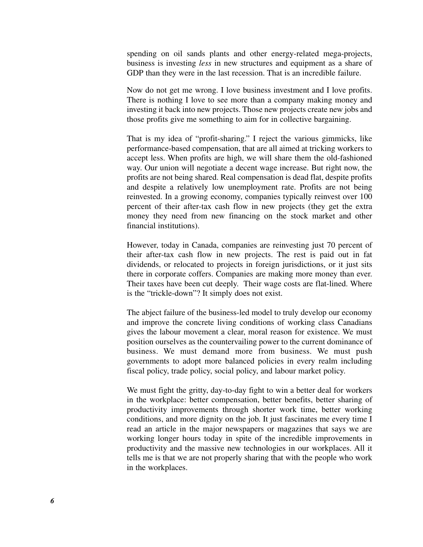spending on oil sands plants and other energy-related mega-projects, business is investing *less* in new structures and equipment as a share of GDP than they were in the last recession. That is an incredible failure.

Now do not get me wrong. I love business investment and I love profits. There is nothing I love to see more than a company making money and investing it back into new projects. Those new projects create new jobs and those profits give me something to aim for in collective bargaining.

That is my idea of "profit-sharing." I reject the various gimmicks, like performance-based compensation, that are all aimed at tricking workers to accept less. When profits are high, we will share them the old-fashioned way. Our union will negotiate a decent wage increase. But right now, the profits are not being shared. Real compensation is dead flat, despite profits and despite a relatively low unemployment rate. Profits are not being reinvested. In a growing economy, companies typically reinvest over 100 percent of their after-tax cash flow in new projects (they get the extra money they need from new financing on the stock market and other financial institutions).

However, today in Canada, companies are reinvesting just 70 percent of their after-tax cash flow in new projects. The rest is paid out in fat dividends, or relocated to projects in foreign jurisdictions, or it just sits there in corporate coffers. Companies are making more money than ever. Their taxes have been cut deeply. Their wage costs are flat-lined. Where is the "trickle-down"? It simply does not exist.

The abject failure of the business-led model to truly develop our economy and improve the concrete living conditions of working class Canadians gives the labour movement a clear, moral reason for existence. We must position ourselves as the countervailing power to the current dominance of business. We must demand more from business. We must push governments to adopt more balanced policies in every realm including fiscal policy, trade policy, social policy, and labour market policy.

We must fight the gritty, day-to-day fight to win a better deal for workers in the workplace: better compensation, better benefits, better sharing of productivity improvements through shorter work time, better working conditions, and more dignity on the job. It just fascinates me every time I read an article in the major newspapers or magazines that says we are working longer hours today in spite of the incredible improvements in productivity and the massive new technologies in our workplaces. All it tells me is that we are not properly sharing that with the people who work in the workplaces.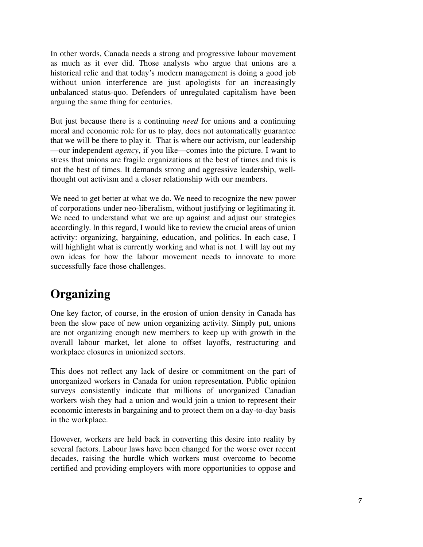In other words, Canada needs a strong and progressive labour movement as much as it ever did. Those analysts who argue that unions are a historical relic and that today's modern management is doing a good job without union interference are just apologists for an increasingly unbalanced status-quo. Defenders of unregulated capitalism have been arguing the same thing for centuries.

But just because there is a continuing *need* for unions and a continuing moral and economic role for us to play, does not automatically guarantee that we will be there to play it. That is where our activism, our leadership —our independent *agency*, if you like—comes into the picture. I want to stress that unions are fragile organizations at the best of times and this is not the best of times. It demands strong and aggressive leadership, wellthought out activism and a closer relationship with our members.

We need to get better at what we do. We need to recognize the new power of corporations under neo-liberalism, without justifying or legitimating it. We need to understand what we are up against and adjust our strategies accordingly. In this regard, I would like to review the crucial areas of union activity: organizing, bargaining, education, and politics. In each case, I will highlight what is currently working and what is not. I will lay out my own ideas for how the labour movement needs to innovate to more successfully face those challenges.

### **Organizing**

One key factor, of course, in the erosion of union density in Canada has been the slow pace of new union organizing activity. Simply put, unions are not organizing enough new members to keep up with growth in the overall labour market, let alone to offset layoffs, restructuring and workplace closures in unionized sectors.

This does not reflect any lack of desire or commitment on the part of unorganized workers in Canada for union representation. Public opinion surveys consistently indicate that millions of unorganized Canadian workers wish they had a union and would join a union to represent their economic interests in bargaining and to protect them on a day-to-day basis in the workplace.

However, workers are held back in converting this desire into reality by several factors. Labour laws have been changed for the worse over recent decades, raising the hurdle which workers must overcome to become certified and providing employers with more opportunities to oppose and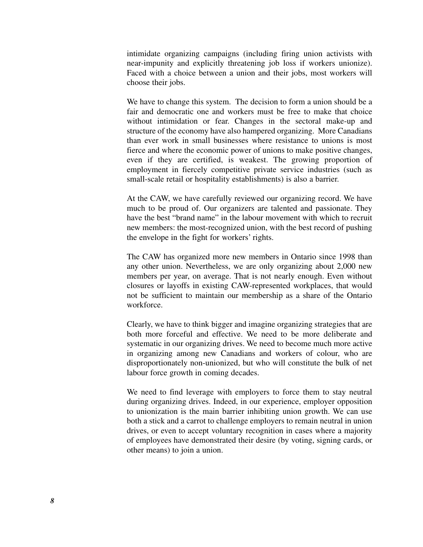intimidate organizing campaigns (including firing union activists with near-impunity and explicitly threatening job loss if workers unionize). Faced with a choice between a union and their jobs, most workers will choose their jobs.

We have to change this system. The decision to form a union should be a fair and democratic one and workers must be free to make that choice without intimidation or fear. Changes in the sectoral make-up and structure of the economy have also hampered organizing. More Canadians than ever work in small businesses where resistance to unions is most fierce and where the economic power of unions to make positive changes, even if they are certified, is weakest. The growing proportion of employment in fiercely competitive private service industries (such as small-scale retail or hospitality establishments) is also a barrier.

At the CAW, we have carefully reviewed our organizing record. We have much to be proud of. Our organizers are talented and passionate. They have the best "brand name" in the labour movement with which to recruit new members: the most-recognized union, with the best record of pushing the envelope in the fight for workers' rights.

The CAW has organized more new members in Ontario since 1998 than any other union. Nevertheless, we are only organizing about 2,000 new members per year, on average. That is not nearly enough. Even without closures or layoffs in existing CAW-represented workplaces, that would not be sufficient to maintain our membership as a share of the Ontario workforce.

Clearly, we have to think bigger and imagine organizing strategies that are both more forceful and effective. We need to be more deliberate and systematic in our organizing drives. We need to become much more active in organizing among new Canadians and workers of colour, who are disproportionately non-unionized, but who will constitute the bulk of net labour force growth in coming decades.

We need to find leverage with employers to force them to stay neutral during organizing drives. Indeed, in our experience, employer opposition to unionization is the main barrier inhibiting union growth. We can use both a stick and a carrot to challenge employers to remain neutral in union drives, or even to accept voluntary recognition in cases where a majority of employees have demonstrated their desire (by voting, signing cards, or other means) to join a union.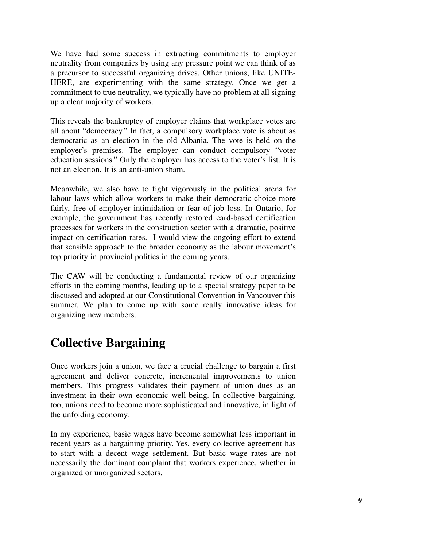We have had some success in extracting commitments to employer neutrality from companies by using any pressure point we can think of as a precursor to successful organizing drives. Other unions, like UNITE-HERE, are experimenting with the same strategy. Once we get a commitment to true neutrality, we typically have no problem at all signing up a clear majority of workers.

This reveals the bankruptcy of employer claims that workplace votes are all about "democracy." In fact, a compulsory workplace vote is about as democratic as an election in the old Albania. The vote is held on the employer's premises. The employer can conduct compulsory "voter education sessions." Only the employer has access to the voter's list. It is not an election. It is an anti-union sham.

Meanwhile, we also have to fight vigorously in the political arena for labour laws which allow workers to make their democratic choice more fairly, free of employer intimidation or fear of job loss. In Ontario, for example, the government has recently restored card-based certification processes for workers in the construction sector with a dramatic, positive impact on certification rates. I would view the ongoing effort to extend that sensible approach to the broader economy as the labour movement's top priority in provincial politics in the coming years.

The CAW will be conducting a fundamental review of our organizing efforts in the coming months, leading up to a special strategy paper to be discussed and adopted at our Constitutional Convention in Vancouver this summer. We plan to come up with some really innovative ideas for organizing new members.

### **Collective Bargaining**

Once workers join a union, we face a crucial challenge to bargain a first agreement and deliver concrete, incremental improvements to union members. This progress validates their payment of union dues as an investment in their own economic well-being. In collective bargaining, too, unions need to become more sophisticated and innovative, in light of the unfolding economy.

In my experience, basic wages have become somewhat less important in recent years as a bargaining priority. Yes, every collective agreement has to start with a decent wage settlement. But basic wage rates are not necessarily the dominant complaint that workers experience, whether in organized or unorganized sectors.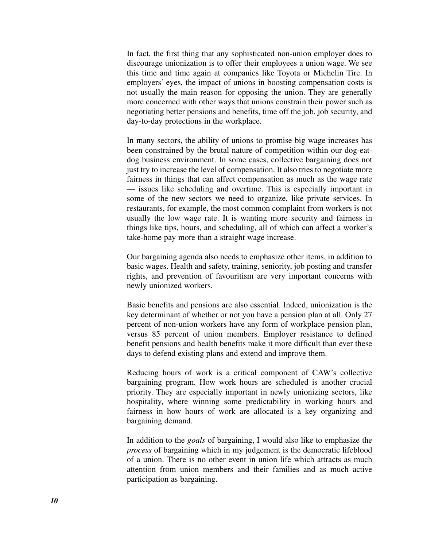In fact, the first thing that any sophisticated non-union employer does to discourage unionization is to offer their employees a union wage. We see this time and time again at companies like Toyota or Michelin Tire. In employers' eyes, the impact of unions in boosting compensation costs is not usually the main reason for opposing the union. They are generally more concerned with other ways that unions constrain their power such as negotiating better pensions and benefits, time off the job, job security, and day-to-day protections in the workplace.

In many sectors, the ability of unions to promise big wage increases has been constrained by the brutal nature of competition within our dog-eatdog business environment. In some cases, collective bargaining does not just try to increase the level of compensation. It also tries to negotiate more fairness in things that can affect compensation as much as the wage rate — issues like scheduling and overtime. This is especially important in some of the new sectors we need to organize, like private services. In restaurants, for example, the most common complaint from workers is not usually the low wage rate. It is wanting more security and fairness in things like tips, hours, and scheduling, all of which can affect a worker's take-home pay more than a straight wage increase.

Our bargaining agenda also needs to emphasize other items, in addition to basic wages. Health and safety, training, seniority, job posting and transfer rights, and prevention of favouritism are very important concerns with newly unionized workers.

Basic benefits and pensions are also essential. Indeed, unionization is the key determinant of whether or not you have a pension plan at all. Only 27 percent of non-union workers have any form of workplace pension plan, versus 85 percent of union members. Employer resistance to defined benefit pensions and health benefits make it more difficult than ever these days to defend existing plans and extend and improve them.

Reducing hours of work is a critical component of CAW's collective bargaining program. How work hours are scheduled is another crucial priority. They are especially important in newly unionizing sectors, like hospitality, where winning some predictability in working hours and fairness in how hours of work are allocated is a key organizing and bargaining demand.

In addition to the *goals* of bargaining, I would also like to emphasize the *process* of bargaining which in my judgement is the democratic lifeblood of a union. There is no other event in union life which attracts as much attention from union members and their families and as much active participation as bargaining.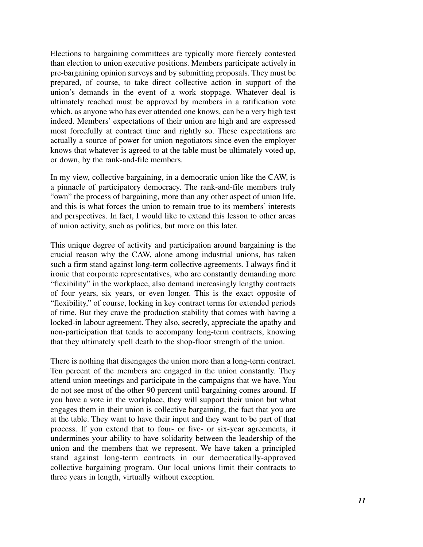Elections to bargaining committees are typically more fiercely contested than election to union executive positions. Members participate actively in pre-bargaining opinion surveys and by submitting proposals. They must be prepared, of course, to take direct collective action in support of the union's demands in the event of a work stoppage. Whatever deal is ultimately reached must be approved by members in a ratification vote which, as anyone who has ever attended one knows, can be a very high test indeed. Members' expectations of their union are high and are expressed most forcefully at contract time and rightly so. These expectations are actually a source of power for union negotiators since even the employer knows that whatever is agreed to at the table must be ultimately voted up, or down, by the rank-and-file members.

In my view, collective bargaining, in a democratic union like the CAW, is a pinnacle of participatory democracy. The rank-and-file members truly "own" the process of bargaining, more than any other aspect of union life, and this is what forces the union to remain true to its members' interests and perspectives. In fact, I would like to extend this lesson to other areas of union activity, such as politics, but more on this later.

This unique degree of activity and participation around bargaining is the crucial reason why the CAW, alone among industrial unions, has taken such a firm stand against long-term collective agreements. I always find it ironic that corporate representatives, who are constantly demanding more "flexibility" in the workplace, also demand increasingly lengthy contracts of four years, six years, or even longer. This is the exact opposite of "flexibility," of course, locking in key contract terms for extended periods of time. But they crave the production stability that comes with having a locked-in labour agreement. They also, secretly, appreciate the apathy and non-participation that tends to accompany long-term contracts, knowing that they ultimately spell death to the shop-floor strength of the union.

There is nothing that disengages the union more than a long-term contract. Ten percent of the members are engaged in the union constantly. They attend union meetings and participate in the campaigns that we have. You do not see most of the other 90 percent until bargaining comes around. If you have a vote in the workplace, they will support their union but what engages them in their union is collective bargaining, the fact that you are at the table. They want to have their input and they want to be part of that process. If you extend that to four- or five- or six-year agreements, it undermines your ability to have solidarity between the leadership of the union and the members that we represent. We have taken a principled stand against long-term contracts in our democratically-approved collective bargaining program. Our local unions limit their contracts to three years in length, virtually without exception.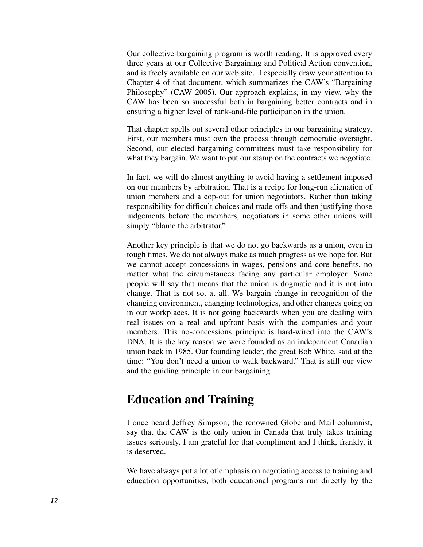Our collective bargaining program is worth reading. It is approved every three years at our Collective Bargaining and Political Action convention, and is freely available on our web site. I especially draw your attention to Chapter 4 of that document, which summarizes the CAW's "Bargaining Philosophy" (CAW 2005). Our approach explains, in my view, why the CAW has been so successful both in bargaining better contracts and in ensuring a higher level of rank-and-file participation in the union.

That chapter spells out several other principles in our bargaining strategy. First, our members must own the process through democratic oversight. Second, our elected bargaining committees must take responsibility for what they bargain. We want to put our stamp on the contracts we negotiate.

In fact, we will do almost anything to avoid having a settlement imposed on our members by arbitration. That is a recipe for long-run alienation of union members and a cop-out for union negotiators. Rather than taking responsibility for difficult choices and trade-offs and then justifying those judgements before the members, negotiators in some other unions will simply "blame the arbitrator."

Another key principle is that we do not go backwards as a union, even in tough times. We do not always make as much progress as we hope for. But we cannot accept concessions in wages, pensions and core benefits, no matter what the circumstances facing any particular employer. Some people will say that means that the union is dogmatic and it is not into change. That is not so, at all. We bargain change in recognition of the changing environment, changing technologies, and other changes going on in our workplaces. It is not going backwards when you are dealing with real issues on a real and upfront basis with the companies and your members. This no-concessions principle is hard-wired into the CAW's DNA. It is the key reason we were founded as an independent Canadian union back in 1985. Our founding leader, the great Bob White, said at the time: "You don't need a union to walk backward." That is still our view and the guiding principle in our bargaining.

#### **Education and Training**

I once heard Jeffrey Simpson, the renowned Globe and Mail columnist, say that the CAW is the only union in Canada that truly takes training issues seriously. I am grateful for that compliment and I think, frankly, it is deserved.

We have always put a lot of emphasis on negotiating access to training and education opportunities, both educational programs run directly by the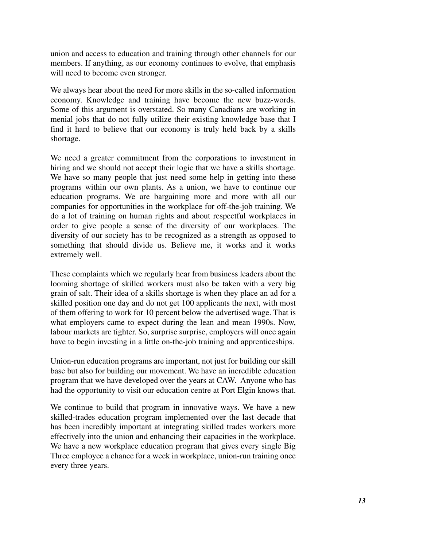union and access to education and training through other channels for our members. If anything, as our economy continues to evolve, that emphasis will need to become even stronger.

We always hear about the need for more skills in the so-called information economy. Knowledge and training have become the new buzz-words. Some of this argument is overstated. So many Canadians are working in menial jobs that do not fully utilize their existing knowledge base that I find it hard to believe that our economy is truly held back by a skills shortage.

We need a greater commitment from the corporations to investment in hiring and we should not accept their logic that we have a skills shortage. We have so many people that just need some help in getting into these programs within our own plants. As a union, we have to continue our education programs. We are bargaining more and more with all our companies for opportunities in the workplace for off-the-job training. We do a lot of training on human rights and about respectful workplaces in order to give people a sense of the diversity of our workplaces. The diversity of our society has to be recognized as a strength as opposed to something that should divide us. Believe me, it works and it works extremely well.

These complaints which we regularly hear from business leaders about the looming shortage of skilled workers must also be taken with a very big grain of salt. Their idea of a skills shortage is when they place an ad for a skilled position one day and do not get 100 applicants the next, with most of them offering to work for 10 percent below the advertised wage. That is what employers came to expect during the lean and mean 1990s. Now, labour markets are tighter. So, surprise surprise, employers will once again have to begin investing in a little on-the-job training and apprenticeships.

Union-run education programs are important, not just for building our skill base but also for building our movement. We have an incredible education program that we have developed over the years at CAW. Anyone who has had the opportunity to visit our education centre at Port Elgin knows that.

We continue to build that program in innovative ways. We have a new skilled-trades education program implemented over the last decade that has been incredibly important at integrating skilled trades workers more effectively into the union and enhancing their capacities in the workplace. We have a new workplace education program that gives every single Big Three employee a chance for a week in workplace, union-run training once every three years.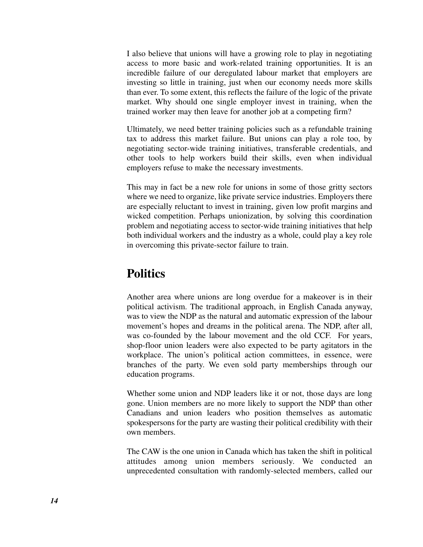I also believe that unions will have a growing role to play in negotiating access to more basic and work-related training opportunities. It is an incredible failure of our deregulated labour market that employers are investing so little in training, just when our economy needs more skills than ever. To some extent, this reflects the failure of the logic of the private market. Why should one single employer invest in training, when the trained worker may then leave for another job at a competing firm?

Ultimately, we need better training policies such as a refundable training tax to address this market failure. But unions can play a role too, by negotiating sector-wide training initiatives, transferable credentials, and other tools to help workers build their skills, even when individual employers refuse to make the necessary investments.

This may in fact be a new role for unions in some of those gritty sectors where we need to organize, like private service industries. Employers there are especially reluctant to invest in training, given low profit margins and wicked competition. Perhaps unionization, by solving this coordination problem and negotiating access to sector-wide training initiatives that help both individual workers and the industry as a whole, could play a key role in overcoming this private-sector failure to train.

#### **Politics**

Another area where unions are long overdue for a makeover is in their political activism. The traditional approach, in English Canada anyway, was to view the NDP as the natural and automatic expression of the labour movement's hopes and dreams in the political arena. The NDP, after all, was co-founded by the labour movement and the old CCF. For years, shop-floor union leaders were also expected to be party agitators in the workplace. The union's political action committees, in essence, were branches of the party. We even sold party memberships through our education programs.

Whether some union and NDP leaders like it or not, those days are long gone. Union members are no more likely to support the NDP than other Canadians and union leaders who position themselves as automatic spokespersons for the party are wasting their political credibility with their own members.

The CAW is the one union in Canada which has taken the shift in political attitudes among union members seriously. We conducted an unprecedented consultation with randomly-selected members, called our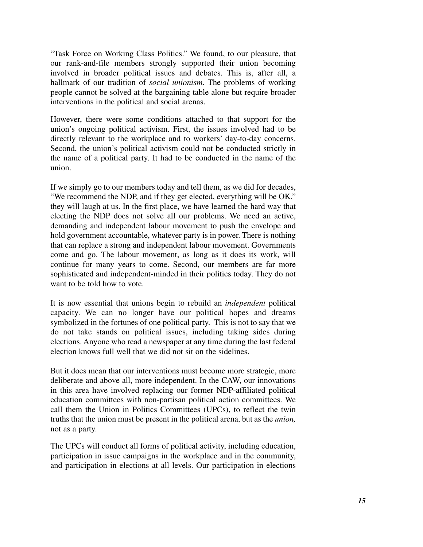"Task Force on Working Class Politics." We found, to our pleasure, that our rank-and-file members strongly supported their union becoming involved in broader political issues and debates. This is, after all, a hallmark of our tradition of *social unionism*. The problems of working people cannot be solved at the bargaining table alone but require broader interventions in the political and social arenas.

However, there were some conditions attached to that support for the union's ongoing political activism. First, the issues involved had to be directly relevant to the workplace and to workers' day-to-day concerns. Second, the union's political activism could not be conducted strictly in the name of a political party. It had to be conducted in the name of the union.

If we simply go to our members today and tell them, as we did for decades, "We recommend the NDP, and if they get elected, everything will be OK," they will laugh at us. In the first place, we have learned the hard way that electing the NDP does not solve all our problems. We need an active, demanding and independent labour movement to push the envelope and hold government accountable, whatever party is in power. There is nothing that can replace a strong and independent labour movement. Governments come and go. The labour movement, as long as it does its work, will continue for many years to come. Second, our members are far more sophisticated and independent-minded in their politics today. They do not want to be told how to vote.

It is now essential that unions begin to rebuild an *independent* political capacity. We can no longer have our political hopes and dreams symbolized in the fortunes of one political party. This is not to say that we do not take stands on political issues, including taking sides during elections. Anyone who read a newspaper at any time during the last federal election knows full well that we did not sit on the sidelines.

But it does mean that our interventions must become more strategic, more deliberate and above all, more independent. In the CAW, our innovations in this area have involved replacing our former NDP-affiliated political education committees with non-partisan political action committees. We call them the Union in Politics Committees (UPCs), to reflect the twin truths that the union must be present in the political arena, but as the *union,* not as a party.

The UPCs will conduct all forms of political activity, including education, participation in issue campaigns in the workplace and in the community, and participation in elections at all levels. Our participation in elections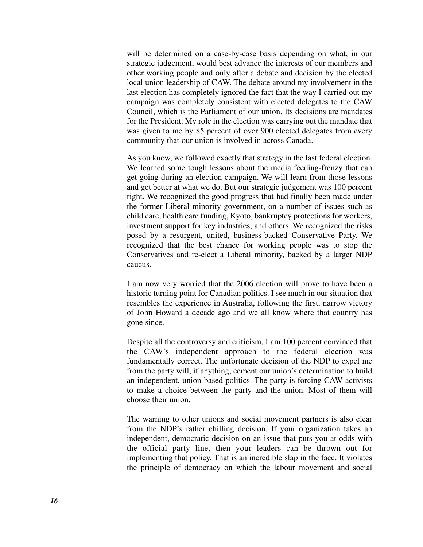will be determined on a case-by-case basis depending on what, in our strategic judgement, would best advance the interests of our members and other working people and only after a debate and decision by the elected local union leadership of CAW. The debate around my involvement in the last election has completely ignored the fact that the way I carried out my campaign was completely consistent with elected delegates to the CAW Council, which is the Parliament of our union. Its decisions are mandates for the President. My role in the election was carrying out the mandate that was given to me by 85 percent of over 900 elected delegates from every community that our union is involved in across Canada.

As you know, we followed exactly that strategy in the last federal election. We learned some tough lessons about the media feeding-frenzy that can get going during an election campaign. We will learn from those lessons and get better at what we do. But our strategic judgement was 100 percent right. We recognized the good progress that had finally been made under the former Liberal minority government, on a number of issues such as child care, health care funding, Kyoto, bankruptcy protections for workers, investment support for key industries, and others. We recognized the risks posed by a resurgent, united, business-backed Conservative Party. We recognized that the best chance for working people was to stop the Conservatives and re-elect a Liberal minority, backed by a larger NDP caucus.

I am now very worried that the 2006 election will prove to have been a historic turning point for Canadian politics. I see much in our situation that resembles the experience in Australia, following the first, narrow victory of John Howard a decade ago and we all know where that country has gone since.

Despite all the controversy and criticism, I am 100 percent convinced that the CAW's independent approach to the federal election was fundamentally correct. The unfortunate decision of the NDP to expel me from the party will, if anything, cement our union's determination to build an independent, union-based politics. The party is forcing CAW activists to make a choice between the party and the union. Most of them will choose their union.

The warning to other unions and social movement partners is also clear from the NDP's rather chilling decision. If your organization takes an independent, democratic decision on an issue that puts you at odds with the official party line, then your leaders can be thrown out for implementing that policy. That is an incredible slap in the face. It violates the principle of democracy on which the labour movement and social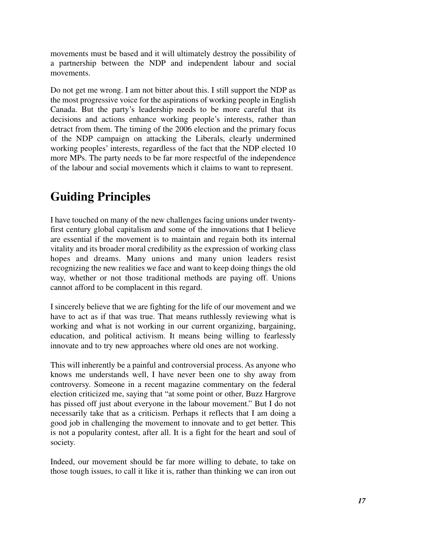movements must be based and it will ultimately destroy the possibility of a partnership between the NDP and independent labour and social movements.

Do not get me wrong. I am not bitter about this. I still support the NDP as the most progressive voice for the aspirations of working people in English Canada. But the party's leadership needs to be more careful that its decisions and actions enhance working people's interests, rather than detract from them. The timing of the 2006 election and the primary focus of the NDP campaign on attacking the Liberals, clearly undermined working peoples' interests, regardless of the fact that the NDP elected 10 more MPs. The party needs to be far more respectful of the independence of the labour and social movements which it claims to want to represent.

### **Guiding Principles**

I have touched on many of the new challenges facing unions under twentyfirst century global capitalism and some of the innovations that I believe are essential if the movement is to maintain and regain both its internal vitality and its broader moral credibility as the expression of working class hopes and dreams. Many unions and many union leaders resist recognizing the new realities we face and want to keep doing things the old way, whether or not those traditional methods are paying off. Unions cannot afford to be complacent in this regard.

I sincerely believe that we are fighting for the life of our movement and we have to act as if that was true. That means ruthlessly reviewing what is working and what is not working in our current organizing, bargaining, education, and political activism. It means being willing to fearlessly innovate and to try new approaches where old ones are not working.

This will inherently be a painful and controversial process. As anyone who knows me understands well, I have never been one to shy away from controversy. Someone in a recent magazine commentary on the federal election criticized me, saying that "at some point or other, Buzz Hargrove has pissed off just about everyone in the labour movement." But I do not necessarily take that as a criticism. Perhaps it reflects that I am doing a good job in challenging the movement to innovate and to get better. This is not a popularity contest, after all. It is a fight for the heart and soul of society.

Indeed, our movement should be far more willing to debate, to take on those tough issues, to call it like it is, rather than thinking we can iron out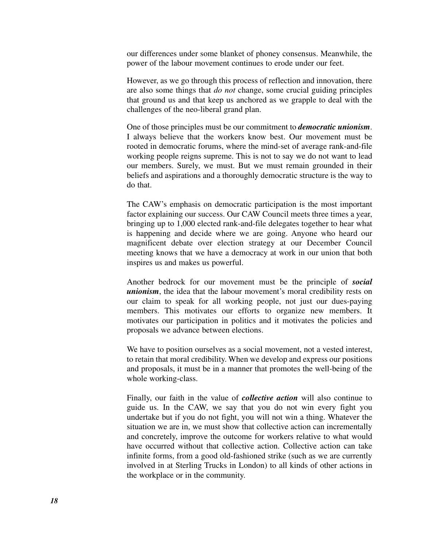our differences under some blanket of phoney consensus. Meanwhile, the power of the labour movement continues to erode under our feet.

However, as we go through this process of reflection and innovation, there are also some things that *do not* change, some crucial guiding principles that ground us and that keep us anchored as we grapple to deal with the challenges of the neo-liberal grand plan.

One of those principles must be our commitment to *democratic unionism*. I always believe that the workers know best. Our movement must be rooted in democratic forums, where the mind-set of average rank-and-file working people reigns supreme. This is not to say we do not want to lead our members. Surely, we must. But we must remain grounded in their beliefs and aspirations and a thoroughly democratic structure is the way to do that.

The CAW's emphasis on democratic participation is the most important factor explaining our success. Our CAW Council meets three times a year, bringing up to 1,000 elected rank-and-file delegates together to hear what is happening and decide where we are going. Anyone who heard our magnificent debate over election strategy at our December Council meeting knows that we have a democracy at work in our union that both inspires us and makes us powerful.

Another bedrock for our movement must be the principle of *social unionism*, the idea that the labour movement's moral credibility rests on our claim to speak for all working people, not just our dues-paying members. This motivates our efforts to organize new members. It motivates our participation in politics and it motivates the policies and proposals we advance between elections.

We have to position ourselves as a social movement, not a vested interest, to retain that moral credibility. When we develop and express our positions and proposals, it must be in a manner that promotes the well-being of the whole working-class.

Finally, our faith in the value of *collective action* will also continue to guide us. In the CAW, we say that you do not win every fight you undertake but if you do not fight, you will not win a thing. Whatever the situation we are in, we must show that collective action can incrementally and concretely, improve the outcome for workers relative to what would have occurred without that collective action. Collective action can take infinite forms, from a good old-fashioned strike (such as we are currently involved in at Sterling Trucks in London) to all kinds of other actions in the workplace or in the community.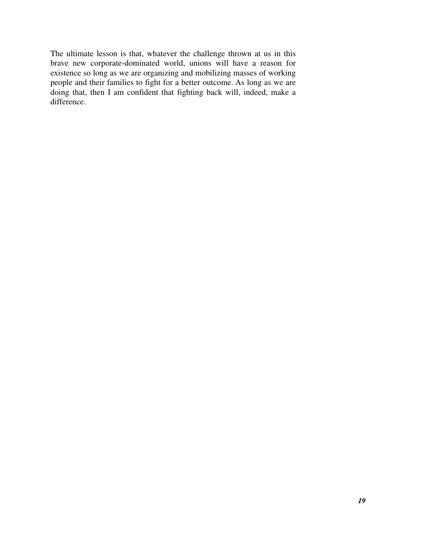The ultimate lesson is that, whatever the challenge thrown at us in this brave new corporate-dominated world, unions will have a reason for existence so long as we are organizing and mobilizing masses of working people and their families to fight for a better outcome. As long as we are doing that, then I am confident that fighting back will, indeed, make a difference.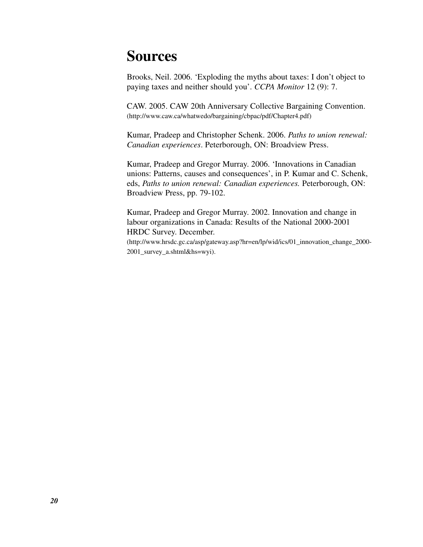# **Sources**

Brooks, Neil. 2006. 'Exploding the myths about taxes: I don't object to paying taxes and neither should you'. *CCPA Monitor* 12 (9): 7.

CAW. 2005. CAW 20th Anniversary Collective Bargaining Convention. (http://www.caw.ca/whatwedo/bargaining/cbpac/pdf/Chapter4.pdf)

Kumar, Pradeep and Christopher Schenk. 2006. *Paths to union renewal: Canadian experiences*. Peterborough, ON: Broadview Press.

Kumar, Pradeep and Gregor Murray. 2006. 'Innovations in Canadian unions: Patterns, causes and consequences', in P. Kumar and C. Schenk, eds, *Paths to union renewal: Canadian experiences.* Peterborough, ON: Broadview Press, pp. 79-102.

Kumar, Pradeep and Gregor Murray. 2002. Innovation and change in labour organizations in Canada: Results of the National 2000-2001 HRDC Survey. December.

(http://www.hrsdc.gc.ca/asp/gateway.asp?hr=en/lp/wid/ics/01\_innovation\_change\_2000- 2001 survey a.shtml&hs=wyi).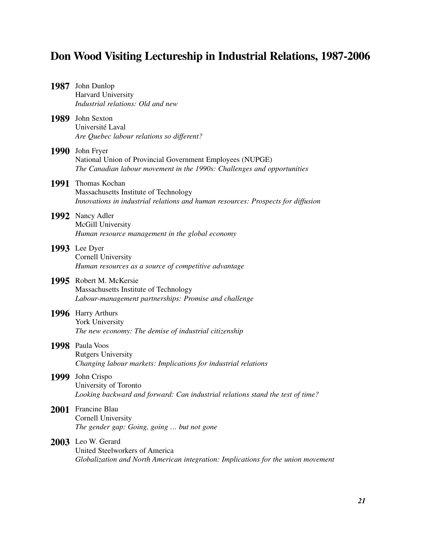## **Don Wood Visiting Lectureship in Industrial Relations, 1987-2006**

|             | 1987 John Dunlop<br>Harvard University<br>Industrial relations: Old and new                                                                             |
|-------------|---------------------------------------------------------------------------------------------------------------------------------------------------------|
|             | 1989 John Sexton<br>Université Laval<br>Are Quebec labour relations so different?                                                                       |
|             | 1990 John Fryer<br>National Union of Provincial Government Employees (NUPGE)<br>The Canadian labour movement in the 1990s: Challenges and opportunities |
|             | 1991 Thomas Kochan<br>Massachusetts Institute of Technology<br>Innovations in industrial relations and human resources: Prospects for diffusion         |
|             | 1992 Nancy Adler<br>McGill University<br>Human resource management in the global economy                                                                |
|             | 1993 Lee Dyer<br>Cornell University<br>Human resources as a source of competitive advantage                                                             |
|             | 1995 Robert M. McKersie<br>Massachusetts Institute of Technology<br>Labour-management partnerships: Promise and challenge                               |
|             | 1996 Harry Arthurs<br>York University<br>The new economy: The demise of industrial citizenship                                                          |
|             | 1998 Paula Voos<br><b>Rutgers University</b><br>Changing labour markets: Implications for industrial relations                                          |
| 1999        | John Crispo<br>University of Toronto<br>Looking backward and forward: Can industrial relations stand the test of time?                                  |
| <b>2001</b> | Francine Blau<br><b>Cornell University</b><br>The gender gap: Going, going  but not gone                                                                |
| <b>2003</b> | Leo W. Gerard<br>United Steelworkers of America<br>Globalization and North American integration: Implications for the union movement                    |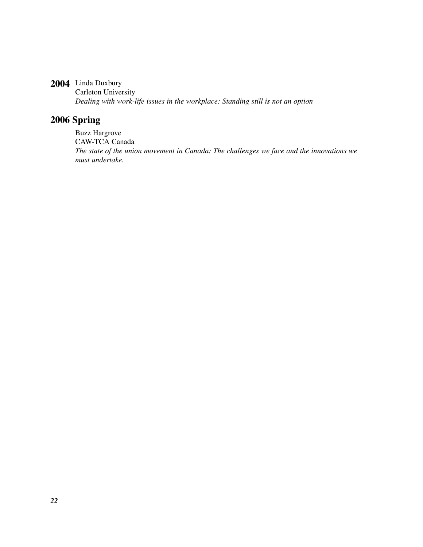#### **2004** Linda Duxbury

Carleton University *Dealing with work-life issues in the workplace: Standing still is not an option*

#### **2006 Spring**

Buzz Hargrove CAW-TCA Canada *The state of the union movement in Canada: The challenges we face and the innovations we must undertake.*